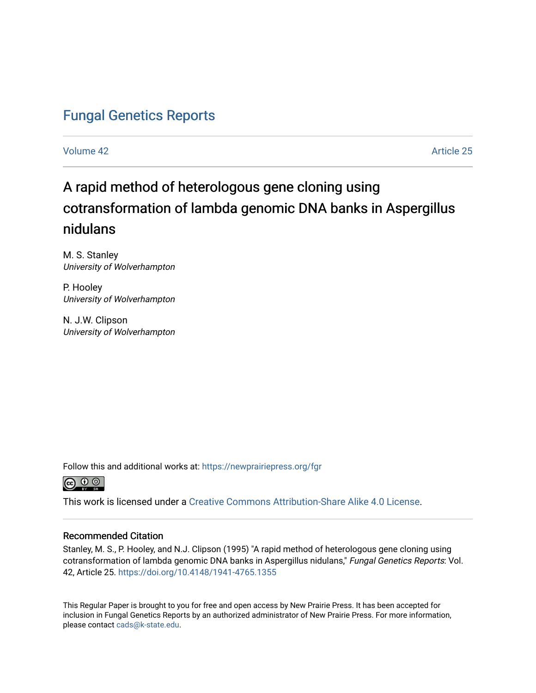## [Fungal Genetics Reports](https://newprairiepress.org/fgr)

[Volume 42](https://newprairiepress.org/fgr/vol42) Article 25

# A rapid method of heterologous gene cloning using cotransformation of lambda genomic DNA banks in Aspergillus nidulans

M. S. Stanley University of Wolverhampton

P. Hooley University of Wolverhampton

N. J.W. Clipson University of Wolverhampton

Follow this and additional works at: [https://newprairiepress.org/fgr](https://newprairiepress.org/fgr?utm_source=newprairiepress.org%2Ffgr%2Fvol42%2Fiss1%2F25&utm_medium=PDF&utm_campaign=PDFCoverPages) 



This work is licensed under a [Creative Commons Attribution-Share Alike 4.0 License.](https://creativecommons.org/licenses/by-sa/4.0/)

#### Recommended Citation

Stanley, M. S., P. Hooley, and N.J. Clipson (1995) "A rapid method of heterologous gene cloning using cotransformation of lambda genomic DNA banks in Aspergillus nidulans," Fungal Genetics Reports: Vol. 42, Article 25.<https://doi.org/10.4148/1941-4765.1355>

This Regular Paper is brought to you for free and open access by New Prairie Press. It has been accepted for inclusion in Fungal Genetics Reports by an authorized administrator of New Prairie Press. For more information, please contact [cads@k-state.edu.](mailto:cads@k-state.edu)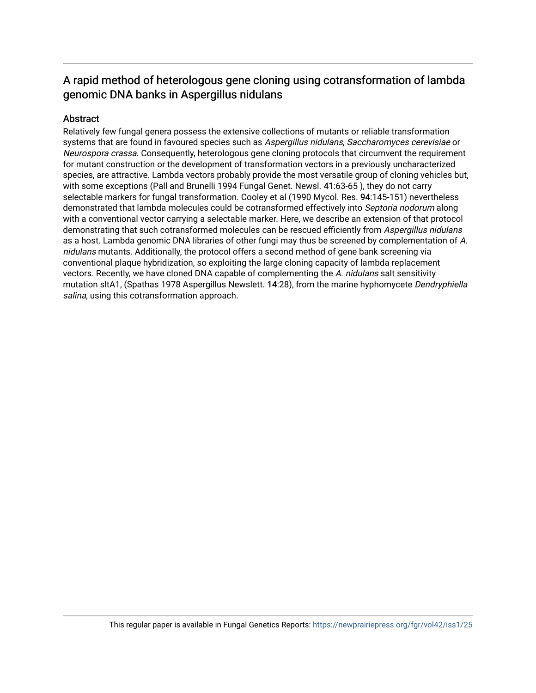## A rapid method of heterologous gene cloning using cotransformation of lambda genomic DNA banks in Aspergillus nidulans

#### Abstract

Relatively few fungal genera possess the extensive collections of mutants or reliable transformation systems that are found in favoured species such as Aspergillus nidulans, Saccharomyces cerevisiae or Neurospora crassa. Consequently, heterologous gene cloning protocols that circumvent the requirement for mutant construction or the development of transformation vectors in a previously uncharacterized species, are attractive. Lambda vectors probably provide the most versatile group of cloning vehicles but, with some exceptions (Pall and Brunelli 1994 Fungal Genet. Newsl. 41:63-65 ), they do not carry selectable markers for fungal transformation. Cooley et al (1990 Mycol. Res. 94:145-151) nevertheless demonstrated that lambda molecules could be cotransformed effectively into Septoria nodorum along with a conventional vector carrying a selectable marker. Here, we describe an extension of that protocol demonstrating that such cotransformed molecules can be rescued efficiently from Aspergillus nidulans as a host. Lambda genomic DNA libraries of other fungi may thus be screened by complementation of A. nidulans mutants. Additionally, the protocol offers a second method of gene bank screening via conventional plaque hybridization, so exploiting the large cloning capacity of lambda replacement vectors. Recently, we have cloned DNA capable of complementing the A. nidulans salt sensitivity mutation sltA1, (Spathas 1978 Aspergillus Newslett. 14:28), from the marine hyphomycete Dendryphiella salina, using this cotransformation approach.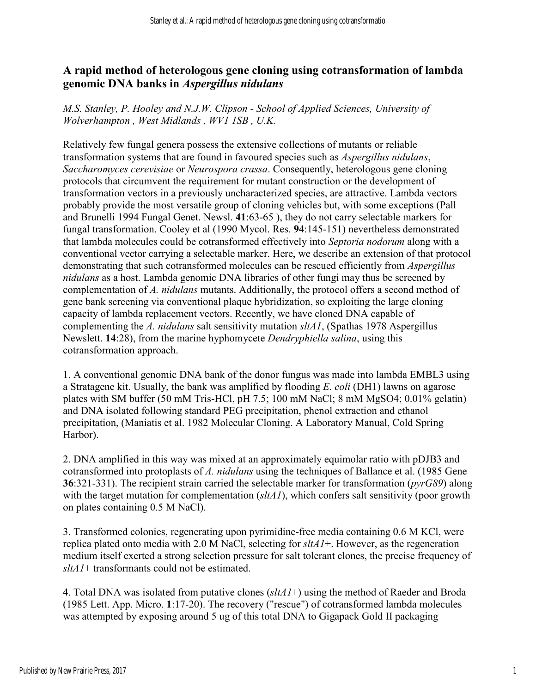### **A rapid method of heterologous gene cloning using cotransformation of lambda genomic DNA banks in** *Aspergillus nidulans*

*M.S. Stanley, P. Hooley and N.J.W. Clipson - School of Applied Sciences, University of Wolverhampton , West Midlands , WV1 1SB , U.K.* 

Relatively few fungal genera possess the extensive collections of mutants or reliable transformation systems that are found in favoured species such as *Aspergillus nidulans*, *Saccharomyces cerevisiae* or *Neurospora crassa*. Consequently, heterologous gene cloning protocols that circumvent the requirement for mutant construction or the development of transformation vectors in a previously uncharacterized species, are attractive. Lambda vectors probably provide the most versatile group of cloning vehicles but, with some exceptions (Pall and Brunelli 1994 Fungal Genet. Newsl. **41**:63-65 ), they do not carry selectable markers for fungal transformation. Cooley et al (1990 Mycol. Res. **94**:145-151) nevertheless demonstrated that lambda molecules could be cotransformed effectively into *Septoria nodorum* along with a conventional vector carrying a selectable marker. Here, we describe an extension of that protocol demonstrating that such cotransformed molecules can be rescued efficiently from *Aspergillus nidulans* as a host. Lambda genomic DNA libraries of other fungi may thus be screened by complementation of *A. nidulans* mutants. Additionally, the protocol offers a second method of gene bank screening via conventional plaque hybridization, so exploiting the large cloning capacity of lambda replacement vectors. Recently, we have cloned DNA capable of complementing the *A. nidulans* salt sensitivity mutation *sltA1*, (Spathas 1978 Aspergillus Newslett. **14**:28), from the marine hyphomycete *Dendryphiella salina*, using this cotransformation approach.

1. A conventional genomic DNA bank of the donor fungus was made into lambda EMBL3 using a Stratagene kit. Usually, the bank was amplified by flooding *E. coli* (DH1) lawns on agarose plates with SM buffer (50 mM Tris-HCl, pH 7.5; 100 mM NaCl; 8 mM MgSO4; 0.01% gelatin) and DNA isolated following standard PEG precipitation, phenol extraction and ethanol precipitation, (Maniatis et al. 1982 Molecular Cloning. A Laboratory Manual, Cold Spring Harbor).

2. DNA amplified in this way was mixed at an approximately equimolar ratio with pDJB3 and cotransformed into protoplasts of *A. nidulans* using the techniques of Ballance et al. (1985 Gene **36**:321-331). The recipient strain carried the selectable marker for transformation (*pyrG89*) along with the target mutation for complementation *(sltA1)*, which confers salt sensitivity (poor growth on plates containing 0.5 M NaCl).

3. Transformed colonies, regenerating upon pyrimidine-free media containing 0.6 M KCl, were replica plated onto media with 2.0 M NaCl, selecting for *sltA1*+. However, as the regeneration medium itself exerted a strong selection pressure for salt tolerant clones, the precise frequency of *sltA1*+ transformants could not be estimated.

4. Total DNA was isolated from putative clones (*sltA1*+) using the method of Raeder and Broda (1985 Lett. App. Micro. **1**:17-20). The recovery ("rescue") of cotransformed lambda molecules was attempted by exposing around 5 ug of this total DNA to Gigapack Gold II packaging